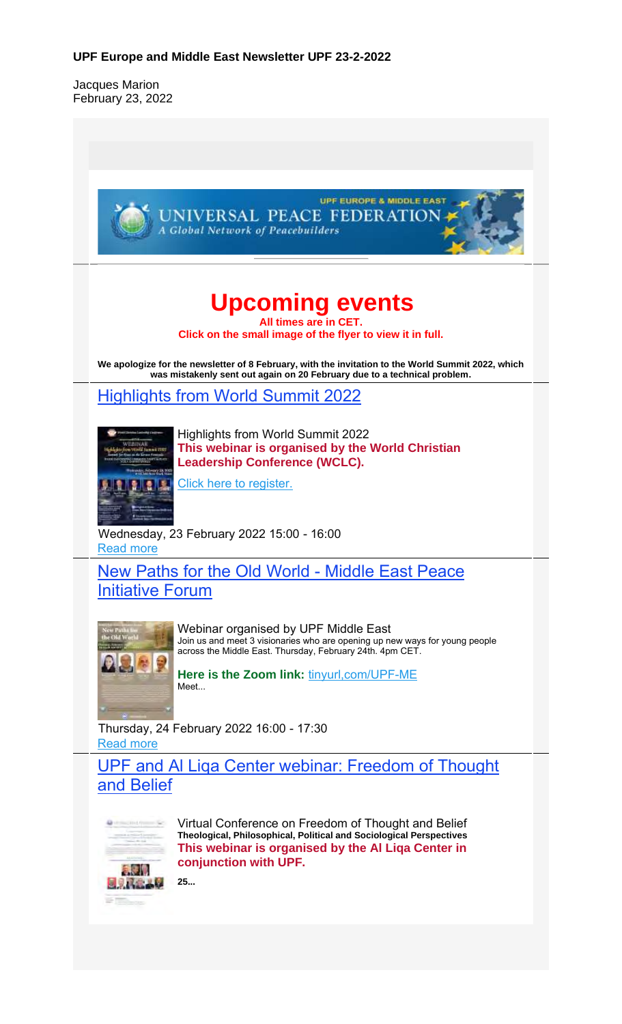#### **UPF Europe and Middle East Newsletter UPF 23-2-2022**

Jacques Marion February 23, 2022

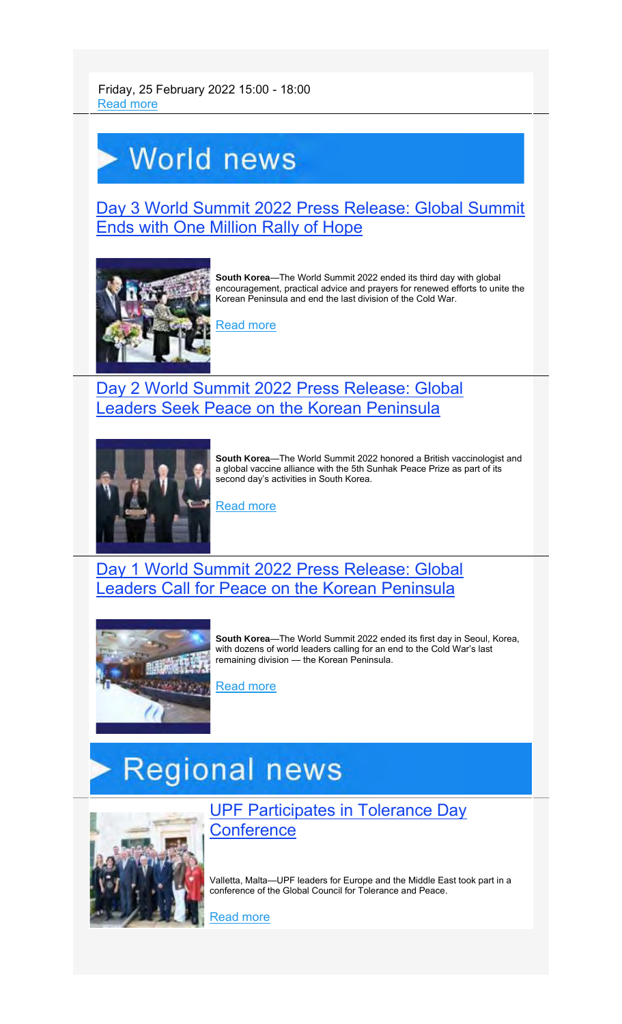Friday, 25 February 2022 15:00 - 18:00 Read more

## World news

Day 3 World Summit 2022 Press Release: Global Summit Ends with One Million Rally of Hope



**South Korea**—The World Summit 2022 ended its third day with global encouragement, practical advice and prayers for renewed efforts to unite the Korean Peninsula and end the last division of the Cold War.

<u>Read more</u>

### Day 2 World Summit 2022 Press Release: Global Leaders Seek Peace on the Korean Peninsula



**South Korea**—The World Summit 2022 honored a British vaccinologist and a global vaccine alliance with the 5th Sunhak Peace Prize as part of its second day's activities in South Korea.

Read more

#### Day 1 World Summit 2022 Press Release: Global Leaders Call for Peace on the Korean Peninsula



**South Korea**—The World Summit 2022 ended its first day in Seoul, Korea, with dozens of world leaders calling for an end to the Cold War's last remaining division — the Korean Peninsula.

Read more

# **Regional news**



UPF Participates in Tolerance Day **Conference** 

Valletta, Malta—UPF leaders for Europe and the Middle East took part in a conference of the Global Council for Tolerance and Peace.

Read more